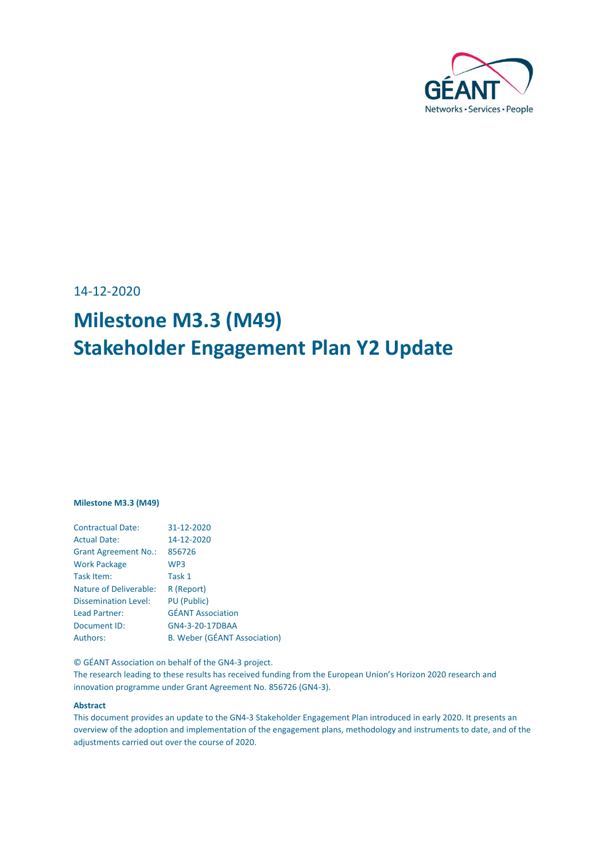

<span id="page-0-0"></span>14-12-2020

# **Milestone M3.3 (M49) Stakeholder Engagement Plan Y2 Update**

#### **Milestone M3.3 (M49)**

| <b>Contractual Date:</b>      | 31-12-2020                          |
|-------------------------------|-------------------------------------|
| <b>Actual Date:</b>           | 14-12-2020                          |
| <b>Grant Agreement No.:</b>   | 856726                              |
| <b>Work Package</b>           | WP3                                 |
| Task Item:                    | Task 1                              |
| <b>Nature of Deliverable:</b> | R (Report)                          |
| <b>Dissemination Level:</b>   | <b>PU</b> (Public)                  |
| Lead Partner:                 | <b>GÉANT Association</b>            |
| Document ID:                  | GN4-3-20-17DBAA                     |
| <b>Authors:</b>               | <b>B. Weber (GÉANT Association)</b> |
|                               |                                     |

© GÉANT Association on behalf of the GN4-3 project.

The research leading to these results has received funding from the European Union's Horizon 2020 research and innovation programme under Grant Agreement No. 856726 (GN4-3).

#### **Abstract**

This document provides an update to the GN4-3 Stakeholder Engagement Plan introduced in early 2020. It presents an overview of the adoption and implementation of the engagement plans, methodology and instruments to date, and of the adjustments carried out over the course of 2020.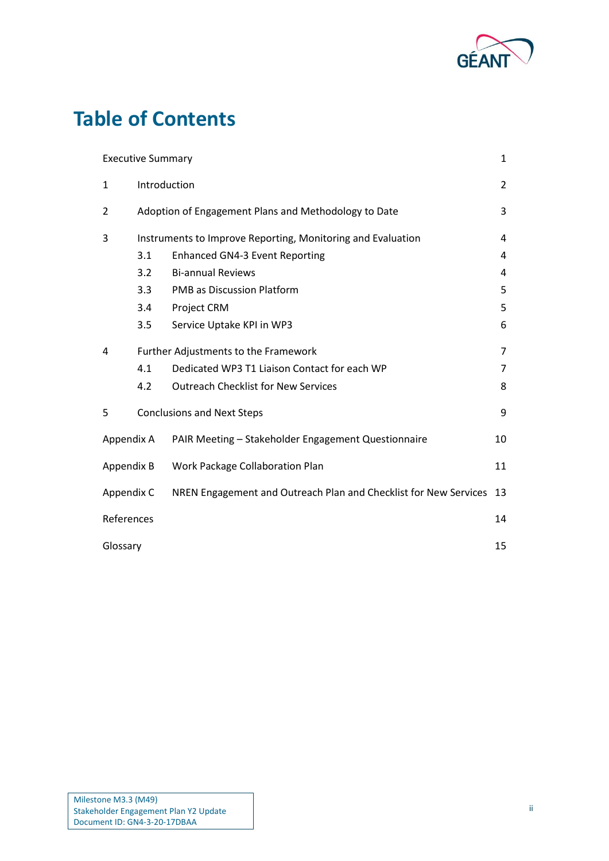

# **Table of Contents**

|            | <b>Executive Summary</b>                                    |                                                                  | 1  |  |  |  |
|------------|-------------------------------------------------------------|------------------------------------------------------------------|----|--|--|--|
| 1          | Introduction                                                |                                                                  |    |  |  |  |
| 2          | Adoption of Engagement Plans and Methodology to Date<br>3   |                                                                  |    |  |  |  |
| 3          | Instruments to Improve Reporting, Monitoring and Evaluation |                                                                  |    |  |  |  |
|            | 3.1                                                         | <b>Enhanced GN4-3 Event Reporting</b>                            | 4  |  |  |  |
|            | 3.2                                                         | <b>Bi-annual Reviews</b>                                         | 4  |  |  |  |
|            | 3.3                                                         | <b>PMB as Discussion Platform</b>                                | 5  |  |  |  |
|            | 3.4                                                         | Project CRM                                                      | 5  |  |  |  |
|            | 3.5                                                         | Service Uptake KPI in WP3                                        | 6  |  |  |  |
| 4          |                                                             | Further Adjustments to the Framework                             | 7  |  |  |  |
|            | 4.1                                                         | Dedicated WP3 T1 Liaison Contact for each WP                     | 7  |  |  |  |
|            | 4.2                                                         | <b>Outreach Checklist for New Services</b>                       | 8  |  |  |  |
| 5          |                                                             | <b>Conclusions and Next Steps</b>                                | 9  |  |  |  |
| Appendix A |                                                             | PAIR Meeting - Stakeholder Engagement Questionnaire              | 10 |  |  |  |
| Appendix B |                                                             | Work Package Collaboration Plan                                  | 11 |  |  |  |
| Appendix C |                                                             | NREN Engagement and Outreach Plan and Checklist for New Services | 13 |  |  |  |
| References |                                                             |                                                                  | 14 |  |  |  |
| Glossary   |                                                             |                                                                  | 15 |  |  |  |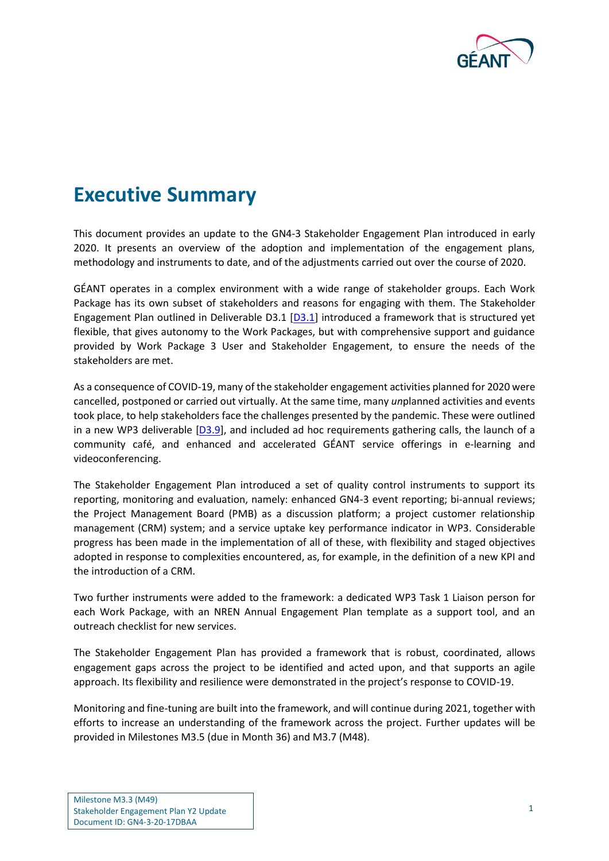

## <span id="page-2-0"></span>**Executive Summary**

This document provides an update to the GN4-3 Stakeholder Engagement Plan introduced in early 2020. It presents an overview of the adoption and implementation of the engagement plans, methodology and instruments to date, and of the adjustments carried out over the course of 2020.

GÉANT operates in a complex environment with a wide range of stakeholder groups. Each Work Package has its own subset of stakeholders and reasons for engaging with them. The Stakeholder Engagement Plan outlined in Deliverable D3.1 [\[D3.1\]](#page-15-1) introduced a framework that is structured yet flexible, that gives autonomy to the Work Packages, but with comprehensive support and guidance provided by Work Package 3 User and Stakeholder Engagement, to ensure the needs of the stakeholders are met.

As a consequence of COVID-19, many of the stakeholder engagement activities planned for 2020 were cancelled, postponed or carried out virtually. At the same time, many *un*planned activities and events took place, to help stakeholders face the challenges presented by the pandemic. These were outlined in a new WP3 deliverable  $[D3.9]$ , and included ad hoc requirements gathering calls, the launch of a community café, and enhanced and accelerated GÉANT service offerings in e-learning and videoconferencing.

The Stakeholder Engagement Plan introduced a set of quality control instruments to support its reporting, monitoring and evaluation, namely: enhanced GN4-3 event reporting; bi-annual reviews; the Project Management Board (PMB) as a discussion platform; a project customer relationship management (CRM) system; and a service uptake key performance indicator in WP3. Considerable progress has been made in the implementation of all of these, with flexibility and staged objectives adopted in response to complexities encountered, as, for example, in the definition of a new KPI and the introduction of a CRM.

Two further instruments were added to the framework: a dedicated WP3 Task 1 Liaison person for each Work Package, with an NREN Annual Engagement Plan template as a support tool, and an outreach checklist for new services.

The Stakeholder Engagement Plan has provided a framework that is robust, coordinated, allows engagement gaps across the project to be identified and acted upon, and that supports an agile approach. Its flexibility and resilience were demonstrated in the project's response to COVID-19.

Monitoring and fine-tuning are built into the framework, and will continue during 2021, together with efforts to increase an understanding of the framework across the project. Further updates will be provided in Milestones M3.5 (due in Month 36) and M3.7 (M48).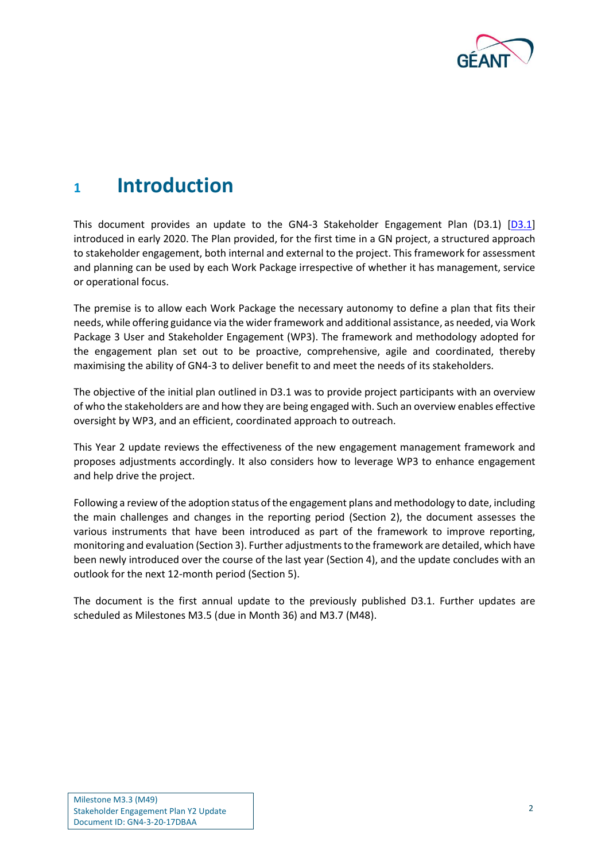

### <span id="page-3-0"></span>**<sup>1</sup> Introduction**

This document provides an update to the GN4-3 Stakeholder Engagement Plan (D3.1)  $[D3.1]$ introduced in early 2020. The Plan provided, for the first time in a GN project, a structured approach to stakeholder engagement, both internal and external to the project. This framework for assessment and planning can be used by each Work Package irrespective of whether it has management, service or operational focus.

The premise is to allow each Work Package the necessary autonomy to define a plan that fits their needs, while offering guidance via the wider framework and additional assistance, as needed, via Work Package 3 User and Stakeholder Engagement (WP3). The framework and methodology adopted for the engagement plan set out to be proactive, comprehensive, agile and coordinated, thereby maximising the ability of GN4-3 to deliver benefit to and meet the needs of its stakeholders.

The objective of the initial plan outlined in D3.1 was to provide project participants with an overview of who the stakeholders are and how they are being engaged with. Such an overview enables effective oversight by WP3, and an efficient, coordinated approach to outreach.

This Year 2 update reviews the effectiveness of the new engagement management framework and proposes adjustments accordingly. It also considers how to leverage WP3 to enhance engagement and help drive the project.

Following a review of the adoption status of the engagement plans and methodology to date, including the main challenges and changes in the reporting period (Section [2\)](#page-4-0), the document assesses the various instruments that have been introduced as part of the framework to improve reporting, monitoring and evaluation (Sectio[n 3\)](#page-5-0). Further adjustments to the framework are detailed, which have been newly introduced over the course of the last year (Section [4\)](#page-8-0), and the update concludes with an outlook for the next 12-month period (Section [5\)](#page-10-0).

The document is the first annual update to the previously published D3.1. Further updates are scheduled as Milestones M3.5 (due in Month 36) and M3.7 (M48).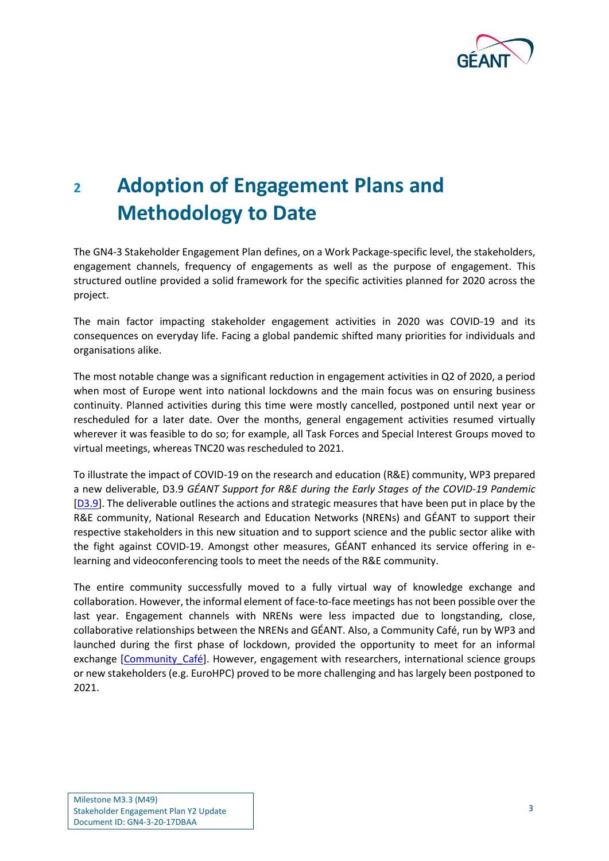

# <span id="page-4-0"></span>**<sup>2</sup> Adoption of Engagement Plans and Methodology to Date**

The GN4-3 Stakeholder Engagement Plan defines, on a Work Package-specific level, the stakeholders, engagement channels, frequency of engagements as well as the purpose of engagement. This structured outline provided a solid framework for the specific activities planned for 2020 across the project.

The main factor impacting stakeholder engagement activities in 2020 was COVID-19 and its consequences on everyday life. Facing a global pandemic shifted many priorities for individuals and organisations alike.

The most notable change was a significant reduction in engagement activities in Q2 of 2020, a period when most of Europe went into national lockdowns and the main focus was on ensuring business continuity. Planned activities during this time were mostly cancelled, postponed until next year or rescheduled for a later date. Over the months, general engagement activities resumed virtually wherever it was feasible to do so; for example, all Task Forces and Special Interest Groups moved to virtual meetings, whereas TNC20 was rescheduled to 2021.

To illustrate the impact of COVID-19 on the research and education (R&E) community, WP3 prepared a new deliverable, D3.9 *GÉANT Support for R&E during the Early Stages of the COVID-19 Pandemic* [\[D3.9\]](#page-15-2). The deliverable outlines the actions and strategic measures that have been put in place by the R&E community, National Research and Education Networks (NRENs) and GÉANT to support their respective stakeholders in this new situation and to support science and the public sector alike with the fight against COVID-19. Amongst other measures, GÉANT enhanced its service offering in elearning and videoconferencing tools to meet the needs of the R&E community.

The entire community successfully moved to a fully virtual way of knowledge exchange and collaboration. However, the informal element of face-to-face meetings has not been possible over the last year. Engagement channels with NRENs were less impacted due to longstanding, close, collaborative relationships between the NRENs and GÉANT. Also, a Community Café, run by WP3 and launched during the first phase of lockdown, provided the opportunity to meet for an informal exchange [\[Community\\_Café\]](#page-15-3). However, engagement with researchers, international science groups or new stakeholders (e.g. EuroHPC) proved to be more challenging and has largely been postponed to 2021.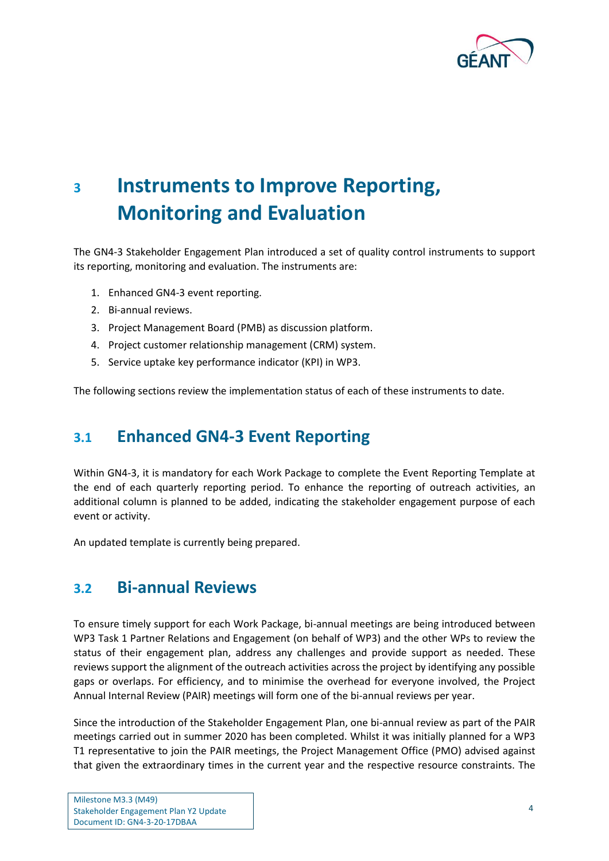

# <span id="page-5-0"></span>**<sup>3</sup> Instruments to Improve Reporting, Monitoring and Evaluation**

The GN4-3 Stakeholder Engagement Plan introduced a set of quality control instruments to support its reporting, monitoring and evaluation. The instruments are:

- 1. Enhanced GN4-3 event reporting.
- 2. Bi-annual reviews.
- 3. Project Management Board (PMB) as discussion platform.
- 4. Project customer relationship management (CRM) system.
- 5. Service uptake key performance indicator (KPI) in WP3.

The following sections review the implementation status of each of these instruments to date.

### <span id="page-5-1"></span>**3.1 Enhanced GN4-3 Event Reporting**

Within GN4-3, it is mandatory for each Work Package to complete the Event Reporting Template at the end of each quarterly reporting period. To enhance the reporting of outreach activities, an additional column is planned to be added, indicating the stakeholder engagement purpose of each event or activity.

An updated template is currently being prepared.

#### <span id="page-5-2"></span>**3.2 Bi-annual Reviews**

To ensure timely support for each Work Package, bi-annual meetings are being introduced between WP3 Task 1 Partner Relations and Engagement (on behalf of WP3) and the other WPs to review the status of their engagement plan, address any challenges and provide support as needed. These reviews support the alignment of the outreach activities across the project by identifying any possible gaps or overlaps. For efficiency, and to minimise the overhead for everyone involved, the Project Annual Internal Review (PAIR) meetings will form one of the bi-annual reviews per year.

Since the introduction of the Stakeholder Engagement Plan, one bi-annual review as part of the PAIR meetings carried out in summer 2020 has been completed. Whilst it was initially planned for a WP3 T1 representative to join the PAIR meetings, the Project Management Office (PMO) advised against that given the extraordinary times in the current year and the respective resource constraints. The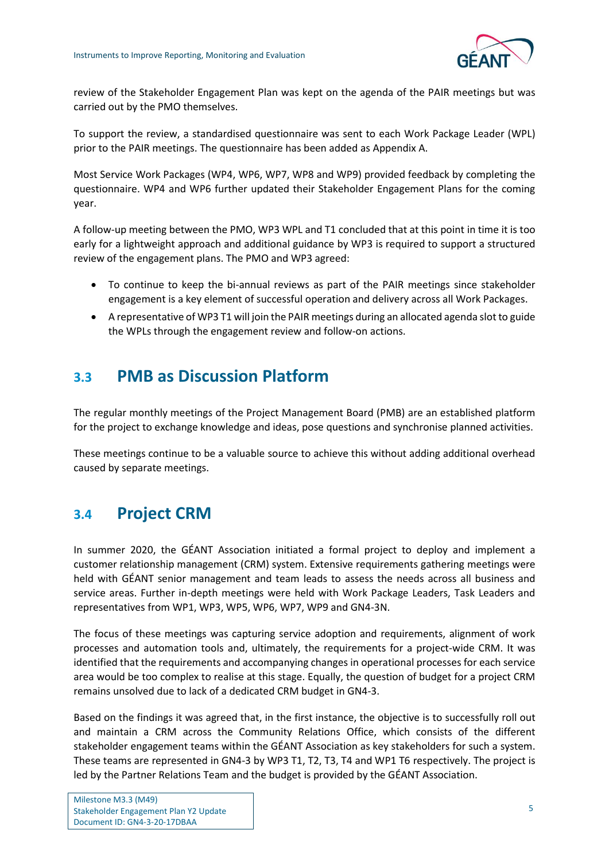

review of the Stakeholder Engagement Plan was kept on the agenda of the PAIR meetings but was carried out by the PMO themselves.

To support the review, a standardised questionnaire was sent to each Work Package Leader (WPL) prior to the PAIR meetings. The questionnaire has been added a[s Appendix A.](#page-11-0)

Most Service Work Packages (WP4, WP6, WP7, WP8 and WP9) provided feedback by completing the questionnaire. WP4 and WP6 further updated their Stakeholder Engagement Plans for the coming year.

A follow-up meeting between the PMO, WP3 WPL and T1 concluded that at this point in time it is too early for a lightweight approach and additional guidance by WP3 is required to support a structured review of the engagement plans. The PMO and WP3 agreed:

- To continue to keep the bi-annual reviews as part of the PAIR meetings since stakeholder engagement is a key element of successful operation and delivery across all Work Packages.
- A representative of WP3 T1 will join the PAIR meetings during an allocated agenda slot to guide the WPLs through the engagement review and follow-on actions.

### <span id="page-6-0"></span>**3.3 PMB as Discussion Platform**

The regular monthly meetings of the Project Management Board (PMB) are an established platform for the project to exchange knowledge and ideas, pose questions and synchronise planned activities.

These meetings continue to be a valuable source to achieve this without adding additional overhead caused by separate meetings.

### <span id="page-6-1"></span>**3.4 Project CRM**

In summer 2020, the GÉANT Association initiated a formal project to deploy and implement a customer relationship management (CRM) system. Extensive requirements gathering meetings were held with GÉANT senior management and team leads to assess the needs across all business and service areas. Further in-depth meetings were held with Work Package Leaders, Task Leaders and representatives from WP1, WP3, WP5, WP6, WP7, WP9 and GN4-3N.

The focus of these meetings was capturing service adoption and requirements, alignment of work processes and automation tools and, ultimately, the requirements for a project-wide CRM. It was identified that the requirements and accompanying changes in operational processes for each service area would be too complex to realise at this stage. Equally, the question of budget for a project CRM remains unsolved due to lack of a dedicated CRM budget in GN4-3.

Based on the findings it was agreed that, in the first instance, the objective is to successfully roll out and maintain a CRM across the Community Relations Office, which consists of the different stakeholder engagement teams within the GÉANT Association as key stakeholders for such a system. These teams are represented in GN4-3 by WP3 T1, T2, T3, T4 and WP1 T6 respectively. The project is led by the Partner Relations Team and the budget is provided by the GÉANT Association.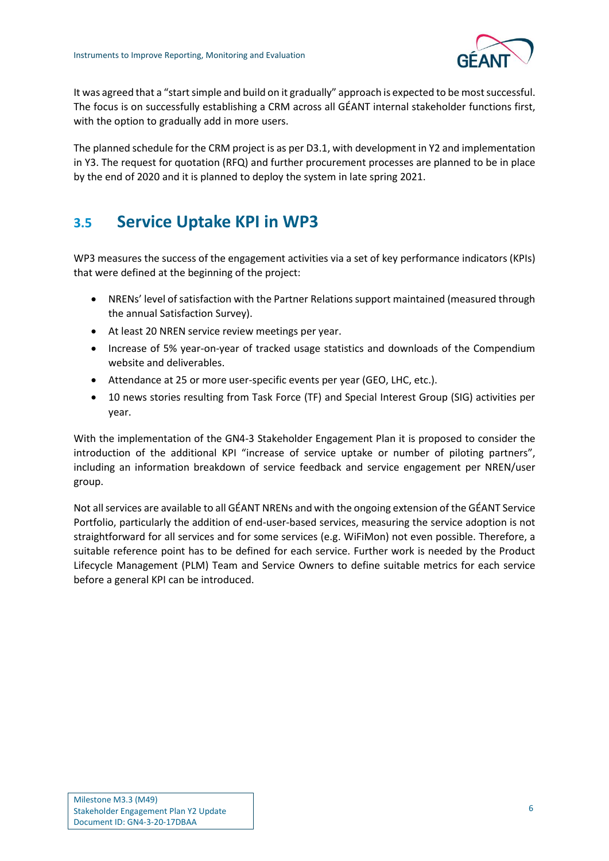

It was agreed that a "start simple and build on it gradually" approach is expected to be most successful. The focus is on successfully establishing a CRM across all GÉANT internal stakeholder functions first, with the option to gradually add in more users.

The planned schedule for the CRM project is as per D3.1, with development in Y2 and implementation in Y3. The request for quotation (RFQ) and further procurement processes are planned to be in place by the end of 2020 and it is planned to deploy the system in late spring 2021.

### <span id="page-7-0"></span>**3.5 Service Uptake KPI in WP3**

WP3 measures the success of the engagement activities via a set of key performance indicators (KPIs) that were defined at the beginning of the project:

- NRENs' level of satisfaction with the Partner Relations support maintained (measured through the annual Satisfaction Survey).
- At least 20 NREN service review meetings per year.
- Increase of 5% year-on-year of tracked usage statistics and downloads of the Compendium website and deliverables.
- Attendance at 25 or more user-specific events per year (GEO, LHC, etc.).
- 10 news stories resulting from Task Force (TF) and Special Interest Group (SIG) activities per year.

With the implementation of the GN4-3 Stakeholder Engagement Plan it is proposed to consider the introduction of the additional KPI "increase of service uptake or number of piloting partners", including an information breakdown of service feedback and service engagement per NREN/user group.

Not all services are available to all GÉANT NRENs and with the ongoing extension of the GÉANT Service Portfolio, particularly the addition of end-user-based services, measuring the service adoption is not straightforward for all services and for some services (e.g. WiFiMon) not even possible. Therefore, a suitable reference point has to be defined for each service. Further work is needed by the Product Lifecycle Management (PLM) Team and Service Owners to define suitable metrics for each service before a general KPI can be introduced.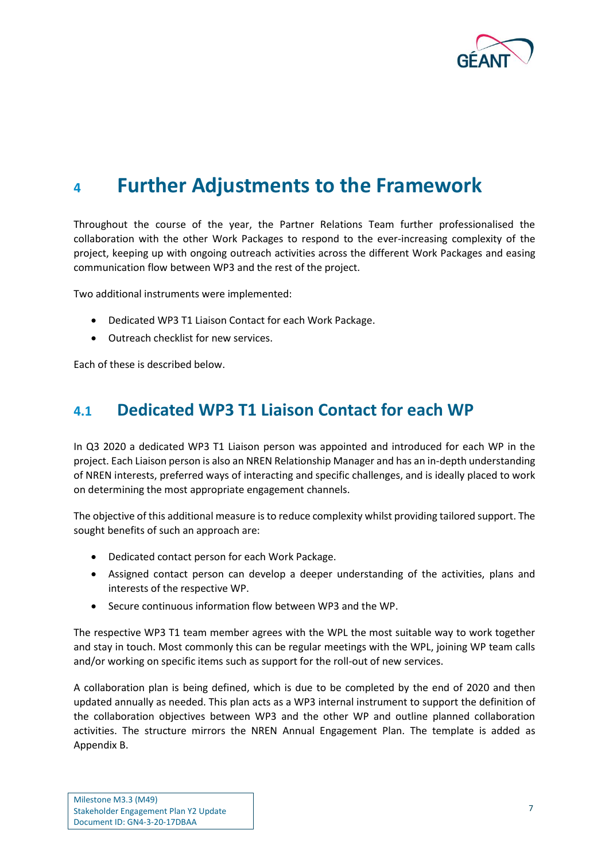

### <span id="page-8-0"></span>**<sup>4</sup> Further Adjustments to the Framework**

Throughout the course of the year, the Partner Relations Team further professionalised the collaboration with the other Work Packages to respond to the ever-increasing complexity of the project, keeping up with ongoing outreach activities across the different Work Packages and easing communication flow between WP3 and the rest of the project.

Two additional instruments were implemented:

- Dedicated WP3 T1 Liaison Contact for each Work Package.
- Outreach checklist for new services.

Each of these is described below.

### <span id="page-8-1"></span>**4.1 Dedicated WP3 T1 Liaison Contact for each WP**

In Q3 2020 a dedicated WP3 T1 Liaison person was appointed and introduced for each WP in the project. Each Liaison person is also an NREN Relationship Manager and has an in-depth understanding of NREN interests, preferred ways of interacting and specific challenges, and is ideally placed to work on determining the most appropriate engagement channels.

The objective of this additional measure is to reduce complexity whilst providing tailored support. The sought benefits of such an approach are:

- Dedicated contact person for each Work Package.
- Assigned contact person can develop a deeper understanding of the activities, plans and interests of the respective WP.
- Secure continuous information flow between WP3 and the WP.

The respective WP3 T1 team member agrees with the WPL the most suitable way to work together and stay in touch. Most commonly this can be regular meetings with the WPL, joining WP team calls and/or working on specific items such as support for the roll-out of new services.

A collaboration plan is being defined, which is due to be completed by the end of 2020 and then updated annually as needed. This plan acts as a WP3 internal instrument to support the definition of the collaboration objectives between WP3 and the other WP and outline planned collaboration activities. The structure mirrors the NREN Annual Engagement Plan. The template is added as [Appendix B.](#page-12-0)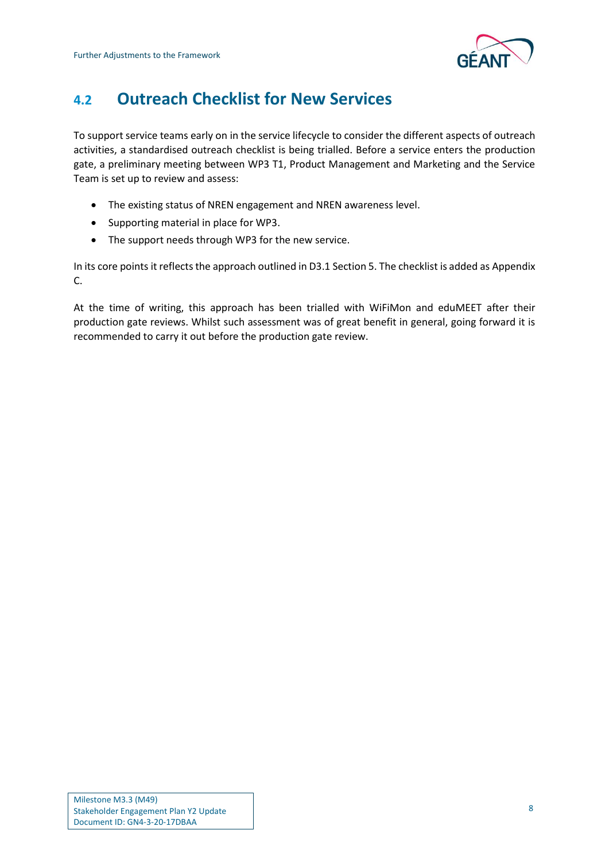

### <span id="page-9-0"></span>**4.2 Outreach Checklist for New Services**

To support service teams early on in the service lifecycle to consider the different aspects of outreach activities, a standardised outreach checklist is being trialled. Before a service enters the production gate, a preliminary meeting between WP3 T1, Product Management and Marketing and the Service Team is set up to review and assess:

- The existing status of NREN engagement and NREN awareness level.
- Supporting material in place for WP3.
- The support needs through WP3 for the new service.

In its core points it reflects the approach outlined in D3.1 Section 5. The checklist is added as [Appendix](#page-14-0)  [C.](#page-14-0)

At the time of writing, this approach has been trialled with WiFiMon and eduMEET after their production gate reviews. Whilst such assessment was of great benefit in general, going forward it is recommended to carry it out before the production gate review.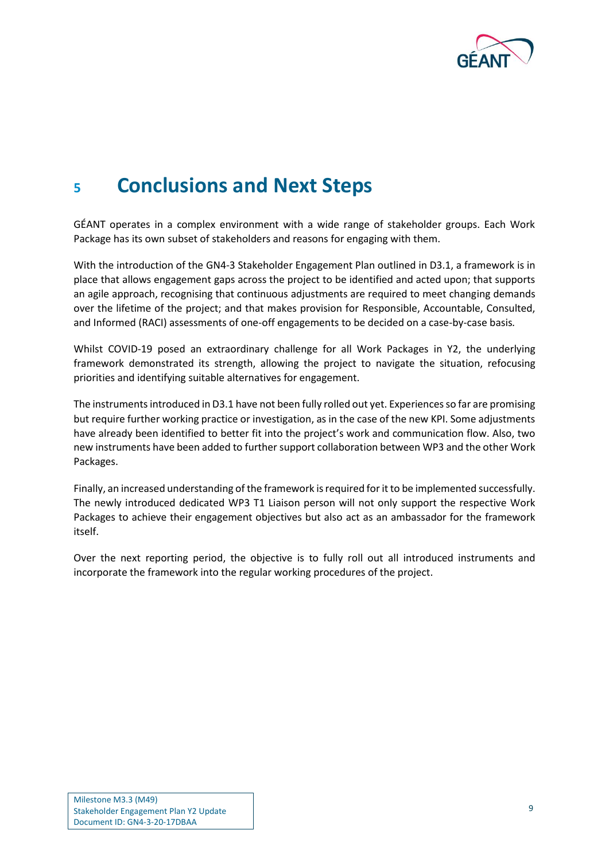

### <span id="page-10-0"></span>**<sup>5</sup> Conclusions and Next Steps**

GÉANT operates in a complex environment with a wide range of stakeholder groups. Each Work Package has its own subset of stakeholders and reasons for engaging with them.

With the introduction of the GN4-3 Stakeholder Engagement Plan outlined in D3.1, a framework is in place that allows engagement gaps across the project to be identified and acted upon; that supports an agile approach, recognising that continuous adjustments are required to meet changing demands over the lifetime of the project; and that makes provision for Responsible, Accountable, Consulted, and Informed (RACI) assessments of one-off engagements to be decided on a case-by-case basis*.*

Whilst COVID-19 posed an extraordinary challenge for all Work Packages in Y2, the underlying framework demonstrated its strength, allowing the project to navigate the situation, refocusing priorities and identifying suitable alternatives for engagement.

The instruments introduced in D3.1 have not been fully rolled out yet. Experiences so far are promising but require further working practice or investigation, as in the case of the new KPI. Some adjustments have already been identified to better fit into the project's work and communication flow. Also, two new instruments have been added to further support collaboration between WP3 and the other Work Packages.

Finally, an increased understanding of the framework is required forit to be implemented successfully. The newly introduced dedicated WP3 T1 Liaison person will not only support the respective Work Packages to achieve their engagement objectives but also act as an ambassador for the framework itself.

Over the next reporting period, the objective is to fully roll out all introduced instruments and incorporate the framework into the regular working procedures of the project.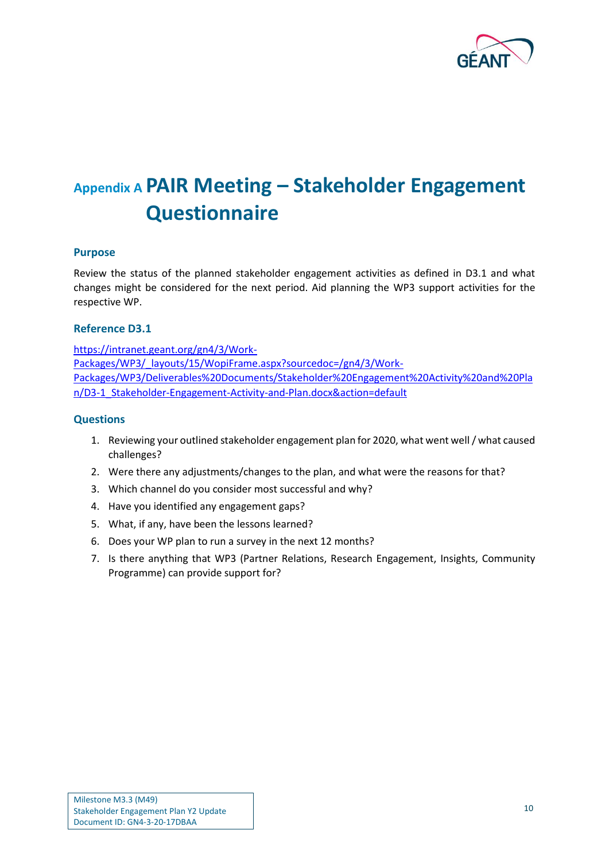

# <span id="page-11-0"></span>**Appendix A PAIR Meeting – Stakeholder Engagement Questionnaire**

#### **Purpose**

Review the status of the planned stakeholder engagement activities as defined in D3.1 and what changes might be considered for the next period. Aid planning the WP3 support activities for the respective WP.

#### **Reference D3.1**

[https://intranet.geant.org/gn4/3/Work-](https://intranet.geant.org/gn4/3/Work-Packages/WP3/_layouts/15/WopiFrame.aspx?sourcedoc=/gn4/3/Work-Packages/WP3/Deliverables%20Documents/Stakeholder%20Engagement%20Activity%20and%20Plan/D3-1_Stakeholder-Engagement-Activity-and-Plan.docx&action=default)Packages/WP3/ layouts/15/WopiFrame.aspx?sourcedoc=/gn4/3/Work-[Packages/WP3/Deliverables%20Documents/Stakeholder%20Engagement%20Activity%20and%20Pla](https://intranet.geant.org/gn4/3/Work-Packages/WP3/_layouts/15/WopiFrame.aspx?sourcedoc=/gn4/3/Work-Packages/WP3/Deliverables%20Documents/Stakeholder%20Engagement%20Activity%20and%20Plan/D3-1_Stakeholder-Engagement-Activity-and-Plan.docx&action=default) [n/D3-1\\_Stakeholder-Engagement-Activity-and-Plan.docx&action=default](https://intranet.geant.org/gn4/3/Work-Packages/WP3/_layouts/15/WopiFrame.aspx?sourcedoc=/gn4/3/Work-Packages/WP3/Deliverables%20Documents/Stakeholder%20Engagement%20Activity%20and%20Plan/D3-1_Stakeholder-Engagement-Activity-and-Plan.docx&action=default)

#### **Questions**

- 1. Reviewing your outlined stakeholder engagement plan for 2020, what went well/ what caused challenges?
- 2. Were there any adjustments/changes to the plan, and what were the reasons for that?
- 3. Which channel do you consider most successful and why?
- 4. Have you identified any engagement gaps?
- 5. What, if any, have been the lessons learned?
- 6. Does your WP plan to run a survey in the next 12 months?
- 7. Is there anything that WP3 (Partner Relations, Research Engagement, Insights, Community Programme) can provide support for?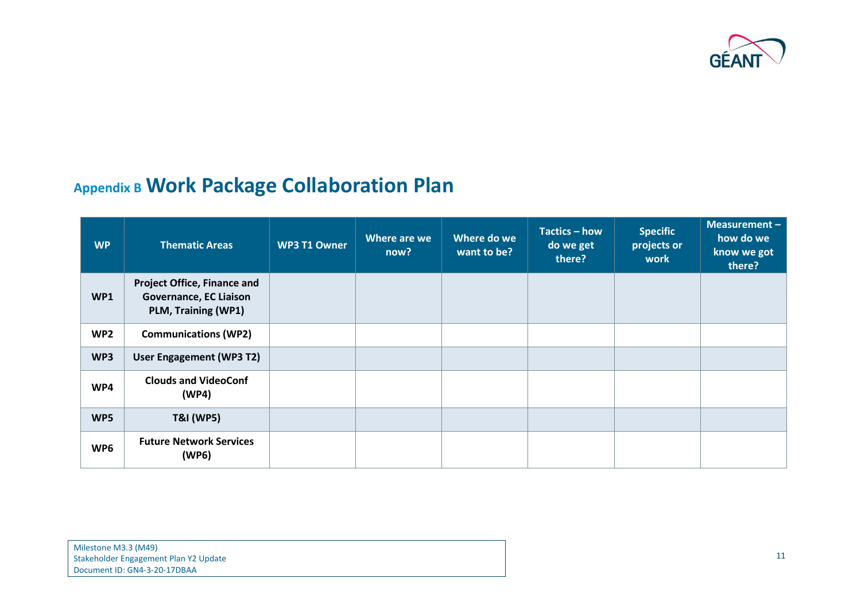

## **Appendix B Work Package Collaboration Plan**

<span id="page-12-0"></span>

| <b>WP</b>       | <b>Thematic Areas</b>                                                                      | <b>WP3 T1 Owner</b> | Where are we<br>now? | Where do we<br>want to be? | Tactics - how<br>do we get<br>there? | <b>Specific</b><br>projects or<br>work | Measurement-<br>how do we<br>know we got<br>there? |
|-----------------|--------------------------------------------------------------------------------------------|---------------------|----------------------|----------------------------|--------------------------------------|----------------------------------------|----------------------------------------------------|
| WP1             | <b>Project Office, Finance and</b><br><b>Governance, EC Liaison</b><br>PLM, Training (WP1) |                     |                      |                            |                                      |                                        |                                                    |
| WP <sub>2</sub> | <b>Communications (WP2)</b>                                                                |                     |                      |                            |                                      |                                        |                                                    |
| WP3             | <b>User Engagement (WP3 T2)</b>                                                            |                     |                      |                            |                                      |                                        |                                                    |
| WP4             | <b>Clouds and VideoConf</b><br>(WP4)                                                       |                     |                      |                            |                                      |                                        |                                                    |
| WP5             | <b>T&amp;I (WP5)</b>                                                                       |                     |                      |                            |                                      |                                        |                                                    |
| WP6             | <b>Future Network Services</b><br>(WP6)                                                    |                     |                      |                            |                                      |                                        |                                                    |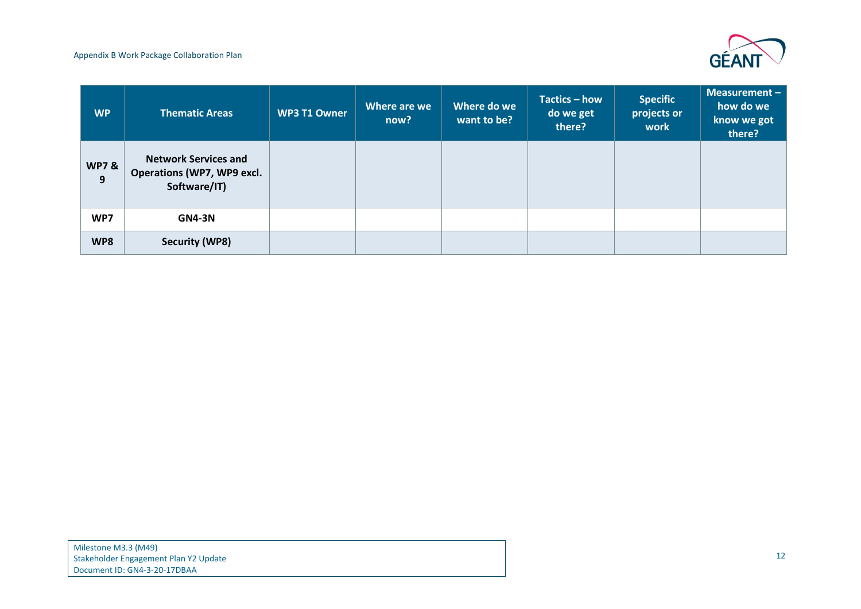#### Appendix B Work Package Collaboration Plan



| <b>WP</b>            | <b>Thematic Areas</b>                                                            | WP3 T1 Owner | Where are we<br>now? | Where do we<br>want to be? | Tactics - how<br>do we get<br>there? | <b>Specific</b><br>projects or<br>work | Measurement $-$<br>how do we<br>know we got<br>there? |
|----------------------|----------------------------------------------------------------------------------|--------------|----------------------|----------------------------|--------------------------------------|----------------------------------------|-------------------------------------------------------|
| <b>WP7&amp;</b><br>9 | <b>Network Services and</b><br><b>Operations (WP7, WP9 excl.</b><br>Software/IT) |              |                      |                            |                                      |                                        |                                                       |
| WP7                  | <b>GN4-3N</b>                                                                    |              |                      |                            |                                      |                                        |                                                       |
| WP8                  | Security (WP8)                                                                   |              |                      |                            |                                      |                                        |                                                       |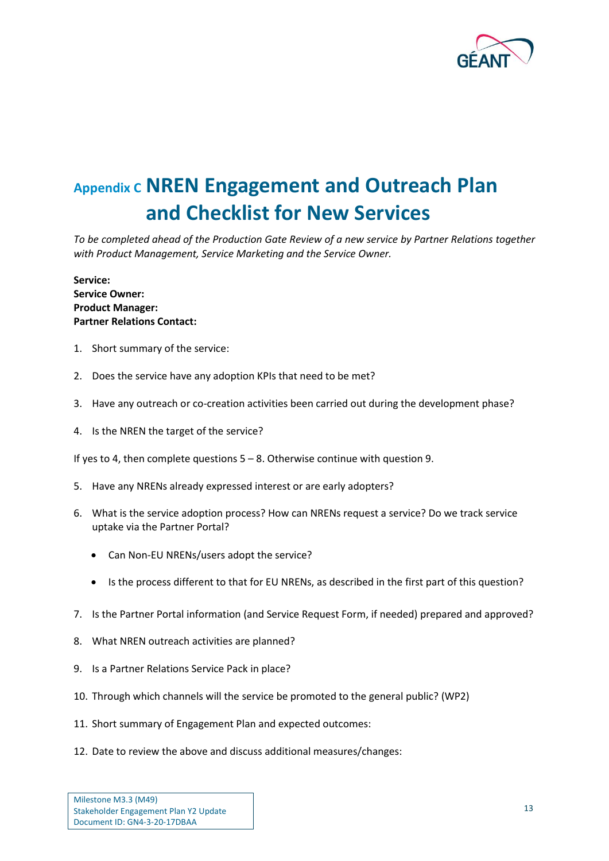

## <span id="page-14-0"></span>**Appendix C NREN Engagement and Outreach Plan and Checklist for New Services**

*To be completed ahead of the Production Gate Review of a new service by Partner Relations together with Product Management, Service Marketing and the Service Owner.*

**Service: Service Owner: Product Manager: Partner Relations Contact:** 

- 1. Short summary of the service:
- 2. Does the service have any adoption KPIs that need to be met?
- 3. Have any outreach or co-creation activities been carried out during the development phase?
- 4. Is the NREN the target of the service?

If yes to 4, then complete questions 5 – 8. Otherwise continue with question 9.

- 5. Have any NRENs already expressed interest or are early adopters?
- 6. What is the service adoption process? How can NRENs request a service? Do we track service uptake via the Partner Portal?
	- Can Non-EU NRENs/users adopt the service?
	- Is the process different to that for EU NRENs, as described in the first part of this question?
- 7. Is the Partner Portal information (and Service Request Form, if needed) prepared and approved?
- 8. What NREN outreach activities are planned?
- 9. Is a Partner Relations Service Pack in place?
- 10. Through which channels will the service be promoted to the general public? (WP2)
- 11. Short summary of Engagement Plan and expected outcomes:
- 12. Date to review the above and discuss additional measures/changes: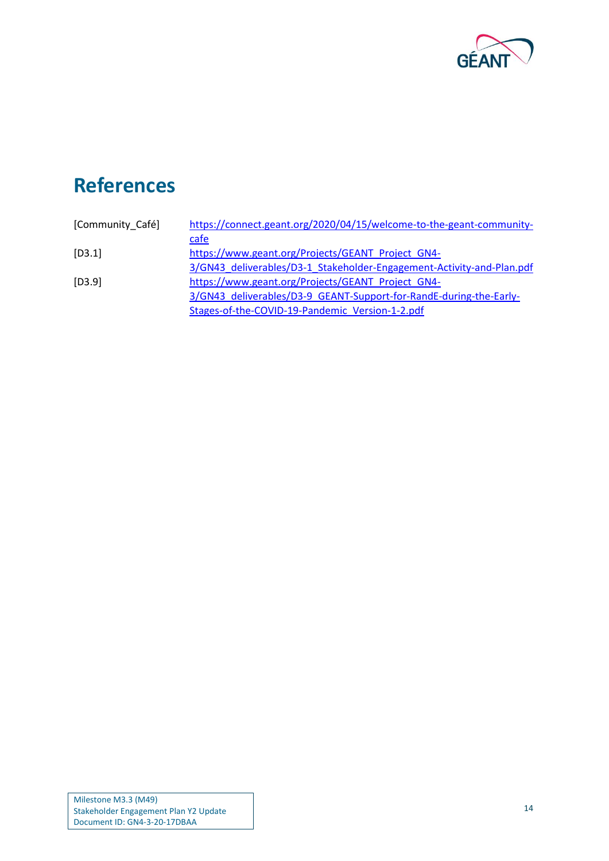

## <span id="page-15-0"></span>**References**

<span id="page-15-3"></span><span id="page-15-2"></span><span id="page-15-1"></span>

| [Community Café] | https://connect.geant.org/2020/04/15/welcome-to-the-geant-community-  |
|------------------|-----------------------------------------------------------------------|
|                  | cafe                                                                  |
| [D3.1]           | https://www.geant.org/Projects/GEANT Project GN4-                     |
|                  | 3/GN43 deliverables/D3-1 Stakeholder-Engagement-Activity-and-Plan.pdf |
| [D3.9]           | https://www.geant.org/Projects/GEANT Project GN4-                     |
|                  | 3/GN43 deliverables/D3-9 GEANT-Support-for-RandE-during-the-Early-    |
|                  | Stages-of-the-COVID-19-Pandemic Version-1-2.pdf                       |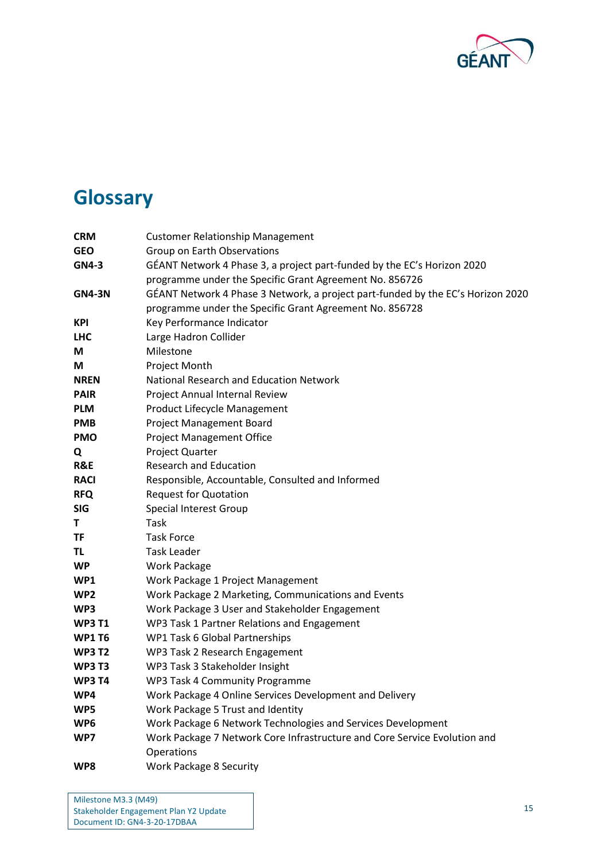

# <span id="page-16-0"></span>**Glossary**

| <b>CRM</b>      | <b>Customer Relationship Management</b>                                         |  |  |  |  |
|-----------------|---------------------------------------------------------------------------------|--|--|--|--|
| <b>GEO</b>      | Group on Earth Observations                                                     |  |  |  |  |
| <b>GN4-3</b>    | GÉANT Network 4 Phase 3, a project part-funded by the EC's Horizon 2020         |  |  |  |  |
|                 | programme under the Specific Grant Agreement No. 856726                         |  |  |  |  |
| <b>GN4-3N</b>   | GÉANT Network 4 Phase 3 Network, a project part-funded by the EC's Horizon 2020 |  |  |  |  |
|                 | programme under the Specific Grant Agreement No. 856728                         |  |  |  |  |
| <b>KPI</b>      | Key Performance Indicator                                                       |  |  |  |  |
| <b>LHC</b>      | Large Hadron Collider                                                           |  |  |  |  |
| М               | Milestone                                                                       |  |  |  |  |
| М               | Project Month                                                                   |  |  |  |  |
| <b>NREN</b>     | National Research and Education Network                                         |  |  |  |  |
| <b>PAIR</b>     | Project Annual Internal Review                                                  |  |  |  |  |
| <b>PLM</b>      | Product Lifecycle Management                                                    |  |  |  |  |
| <b>PMB</b>      | Project Management Board                                                        |  |  |  |  |
| <b>PMO</b>      | <b>Project Management Office</b>                                                |  |  |  |  |
| Q               | Project Quarter                                                                 |  |  |  |  |
| R&E             | <b>Research and Education</b>                                                   |  |  |  |  |
| <b>RACI</b>     | Responsible, Accountable, Consulted and Informed                                |  |  |  |  |
| <b>RFQ</b>      | <b>Request for Quotation</b>                                                    |  |  |  |  |
| <b>SIG</b>      | Special Interest Group                                                          |  |  |  |  |
| T               | Task                                                                            |  |  |  |  |
| <b>TF</b>       | <b>Task Force</b>                                                               |  |  |  |  |
| TL              | <b>Task Leader</b>                                                              |  |  |  |  |
| <b>WP</b>       | Work Package                                                                    |  |  |  |  |
| WP1             | Work Package 1 Project Management                                               |  |  |  |  |
| WP <sub>2</sub> | Work Package 2 Marketing, Communications and Events                             |  |  |  |  |
| WP3             | Work Package 3 User and Stakeholder Engagement                                  |  |  |  |  |
| <b>WP3 T1</b>   | WP3 Task 1 Partner Relations and Engagement                                     |  |  |  |  |
| <b>WP1 T6</b>   | WP1 Task 6 Global Partnerships                                                  |  |  |  |  |
| <b>WP3 T2</b>   | WP3 Task 2 Research Engagement                                                  |  |  |  |  |
| <b>WP3 T3</b>   | WP3 Task 3 Stakeholder Insight                                                  |  |  |  |  |
| <b>WP3 T4</b>   | WP3 Task 4 Community Programme                                                  |  |  |  |  |
| WP4             | Work Package 4 Online Services Development and Delivery                         |  |  |  |  |
| WP5             | Work Package 5 Trust and Identity                                               |  |  |  |  |
| WP6             | Work Package 6 Network Technologies and Services Development                    |  |  |  |  |
| WP7             | Work Package 7 Network Core Infrastructure and Core Service Evolution and       |  |  |  |  |
|                 | Operations                                                                      |  |  |  |  |
| WP8             | <b>Work Package 8 Security</b>                                                  |  |  |  |  |

Milestone M3.3 (M49) Stakeholder Engagement Plan Y2 Update Document ID: GN4-3-20-17DBAA